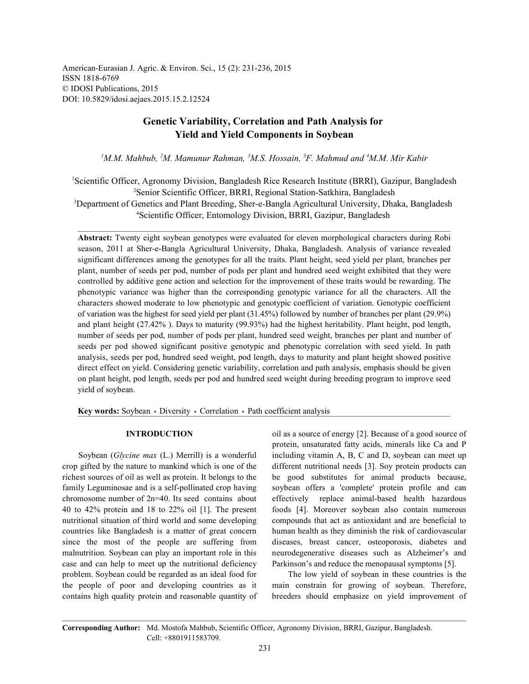American-Eurasian J. Agric. & Environ. Sci., 15 (2): 231-236, 2015 ISSN 1818-6769 © IDOSI Publications, 2015 DOI: 10.5829/idosi.aejaes.2015.15.2.12524

# **Genetic Variability, Correlation and Path Analysis for Yield and Yield Components in Soybean**

<sup>*I*</sup>M.M. Mahbub, <sup>2</sup>M. Mamunur Rahman, <sup>3</sup>M.S. Hossain, <sup>3</sup>F. Mahmud and <sup>4</sup>M.M. Mir Kabir

<sup>1</sup>Scientific Officer, Agronomy Division, Bangladesh Rice Research Institute (BRRI), Gazipur, Bangladesh <sup>2</sup>Senior Scientific Officer, BRRI, Regional Station-Satkhira, Bangladesh <sup>3</sup>Department of Genetics and Plant Breeding, Sher-e-Bangla Agricultural University, Dhaka, Bangladesh

Scientific Officer, Entomology Division, BRRI, Gazipur, Bangladesh 4

**Abstract:** Twenty eight soybean genotypes were evaluated for eleven morphological characters during Robi season, 2011 at Sher-e-Bangla Agricultural University, Dhaka, Bangladesh. Analysis of variance revealed significant differences among the genotypes for all the traits. Plant height, seed yield per plant, branches per plant, number of seeds per pod, number of pods per plant and hundred seed weight exhibited that they were controlled by additive gene action and selection for the improvement of these traits would be rewarding. The phenotypic variance was higher than the corresponding genotypic variance for all the characters. All the characters showed moderate to low phenotypic and genotypic coefficient of variation. Genotypic coefficient of variation was the highest for seed yield per plant (31.45%) followed by number of branches per plant (29.9%) and plant height (27.42% ). Days to maturity (99.93%) had the highest heritability. Plant height, pod length, number of seeds per pod, number of pods per plant, hundred seed weight, branches per plant and number of seeds per pod showed significant positive genotypic and phenotypic correlation with seed yield. In path analysis, seeds per pod, hundred seed weight, pod length, days to maturity and plant height showed positive direct effect on yield. Considering genetic variability, correlation and path analysis, emphasis should be given on plant height, pod length, seeds per pod and hundred seed weight during breeding program to improve seed yield of soybean.

Key words: Soybean · Diversity · Correlation · Path coefficient analysis

crop gifted by the nature to mankind which is one of the different nutritional needs [3]. Soy protein products can richest sources of oil as well as protein. It belongs to the be good substitutes for animal products because, family Leguminosae and is a self-pollinated crop having soybean offers a 'complete' protein profile and can chromosome number of 2n=40. Its seed contains about effectively replace animal-based health hazardous 40 to 42% protein and 18 to 22% oil [1]. The present foods [4]. Moreover soybean also contain numerous nutritional situation of third world and some developing compounds that act as antioxidant and are beneficial to countries like Bangladesh is a matter of great concern human health as they diminish the risk of cardiovascular since the most of the people are suffering from diseases, breast cancer, osteoporosis, diabetes and malnutrition. Soybean can play an important role in this neurodegenerative diseases such as Alzheimer's and case and can help to meet up the nutritional deficiency Parkinson's and reduce the menopausal symptoms [5]. problem. Soybean could be regarded as an ideal food for The low yield of soybean in these countries is the the people of poor and developing countries as it main constrain for growing of soybean. Therefore, contains high quality protein and reasonable quantity of breeders should emphasize on yield improvement of

**INTRODUCTION** oil as a source of energy [2]. Because of a good source of Soybean (*Glycine max* (L.) Merrill) is a wonderful including vitamin A, B, C and D, soybean can meet up protein, unsaturated fatty acids, minerals like Ca and P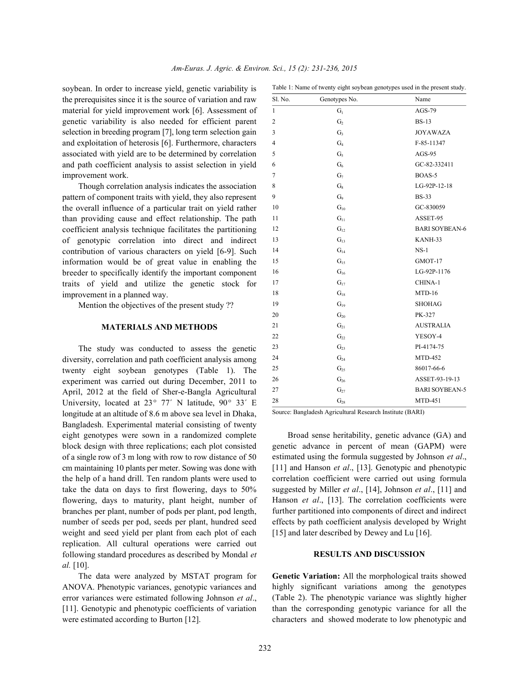soybean. In order to increase yield, genetic variability is the prerequisites since it is the source of variation and raw material for yield improvement work [6]. Assessment of genetic variability is also needed for efficient parent selection in breeding program [7], long term selection gain and exploitation of heterosis [6]. Furthermore, characters associated with yield are to be determined by correlation and path coefficient analysis to assist selection in yield improvement work.

Though correlation analysis indicates the association pattern of component traits with yield, they also represent the overall influence of a particular trait on yield rather than providing cause and effect relationship. The path coefficient analysis technique facilitates the partitioning of genotypic correlation into direct and indirect contribution of various characters on yield [6-9]. Such information would be of great value in enabling the breeder to specifically identify the important component traits of yield and utilize the genetic stock for improvement in a planned way.

Mention the objectives of the present study ??

## **MATERIALS AND METHODS**

The study was conducted to assess the genetic diversity, correlation and path coefficient analysis among twenty eight soybean genotypes (Table 1). The experiment was carried out during December, 2011 to April, 2012 at the field of Sher-e-Bangla Agricultural University, located at  $23^{\circ}$  77' N latitude,  $90^{\circ}$  33' E longitude at an altitude of 8.6 m above sea level in Dhaka, Bangladesh. Experimental material consisting of twenty eight genotypes were sown in a randomized complete block design with three replications; each plot consisted of a single row of 3 m long with row to row distance of 50 cm maintaining 10 plants per meter. Sowing was done with the help of a hand drill. Ten random plants were used to take the data on days to first flowering, days to 50% flowering, days to maturity, plant height, number of branches per plant, number of pods per plant, pod length, number of seeds per pod, seeds per plant, hundred seed weight and seed yield per plant from each plot of each replication. All cultural operations were carried out following standard procedures as described by Mondal *et al.* [10].

The data were analyzed by MSTAT program for ANOVA. Phenotypic variances, genotypic variances and error variances were estimated following Johnson *et al*., [11]. Genotypic and phenotypic coefficients of variation were estimated according to Burton [12].

| Sl. No.        | Genotypes No.     | Name                  |
|----------------|-------------------|-----------------------|
| $\mathbf{1}$   | G <sub>1</sub>    | AGS-79                |
| $\overline{c}$ | G <sub>2</sub>    | $BS-13$               |
| 3              | $G_3$             | <b>JOYAWAZA</b>       |
| $\overline{4}$ | G <sub>4</sub>    | F-85-11347            |
| 5              | $G_5$             | AGS-95                |
| 6              | $G_6$             | GC-82-332411          |
| 7              | G <sub>7</sub>    | BOAS-5                |
| 8              | $G_8$             | LG-92P-12-18          |
| 9              | G <sub>9</sub>    | <b>BS-33</b>          |
| 10             | $G_{10}$          | GC-830059             |
| 11             | $G_{11}$          | ASSET-95              |
| 12             | $G_{12}$          | <b>BARI SOYBEAN-6</b> |
| 13             | $G_{13}$          | KANH-33               |
| 14             | $G_{14}$          | $NS-1$                |
| 15             | $G_{15}$          | GMOT-17               |
| 16             | $G_{16}$          | LG-92P-1176           |
| 17             | $G_{17}$          | CHINA-1               |
| 18             | $G_{18}$          | $MTD-16$              |
| 19             | $G_{19}$          | <b>SHOHAG</b>         |
| 20             | $G_{20}$          | PK-327                |
| 21             | $G_{21}$          | <b>AUSTRALIA</b>      |
| 22             | $G_{22}$          | YESOY-4               |
| 23             | $\mathrm{G}_{23}$ | PI-4174-75            |
| 24             | $G_{24}$          | <b>MTD-452</b>        |
| 25             | $G_{25}$          | 86017-66-6            |
| 26             | $G_{26}$          | ASSET-93-19-13        |
| 27             | $G_{27}$          | <b>BARI SOYBEAN-5</b> |
| 28             | $\mathrm{G}_{28}$ | MTD-451               |

Table 1: Name of twenty eight soybean genotypes used in the present study.

Source: Bangladesh Agricultural Research Institute (BARI)

Broad sense heritability, genetic advance (GA) and genetic advance in percent of mean (GAPM) were estimated using the formula suggested by Johnson *et al*., [11] and Hanson *et al.*, [13]. Genotypic and phenotypic correlation coefficient were carried out using formula suggested by Miller *et al*., [14], Johnson *et al*., [11] and Hanson *et al.*, [13]. The correlation coefficients were further partitioned into components of direct and indirect effects by path coefficient analysis developed by Wright [15] and later described by Dewey and Lu [16].

### **RESULTS AND DISCUSSION**

**Genetic Variation:** All the morphological traits showed highly significant variations among the genotypes (Table 2). The phenotypic variance was slightly higher than the corresponding genotypic variance for all the characters and showed moderate to low phenotypic and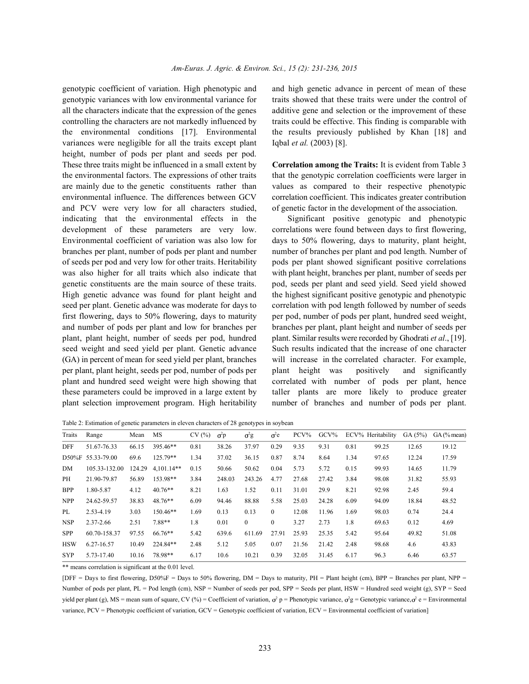genotypic variances with low environmental variance for traits showed that these traits were under the control of all the characters indicate that the expression of the genes additive gene and selection or the improvement of these controlling the characters are not markedly influenced by traits could be effective. This finding is comparable with the environmental conditions [17]. Environmental the results previously published by Khan [18] and variances were negligible for all the traits except plant Iqbal *et al.* (2003) [8]. height, number of pods per plant and seeds per pod. These three traits might be influenced in a small extent by **Correlation among the Traits:** It is evident from Table 3 the environmental factors. The expressions of other traits that the genotypic correlation coefficients were larger in are mainly due to the genetic constituents rather than values as compared to their respective phenotypic environmental influence. The differences between GCV correlation coefficient. This indicates greater contribution and PCV were very low for all characters studied, of genetic factor in the development of the association. indicating that the environmental effects in the Significant positive genotypic and phenotypic development of these parameters are very low. correlations were found between days to first flowering, Environmental coefficient of variation was also low for days to 50% flowering, days to maturity, plant height, branches per plant, number of pods per plant and number number of branches per plant and pod length. Number of of seeds per pod and very low for other traits. Heritability pods per plant showed significant positive correlations was also higher for all traits which also indicate that with plant height, branches per plant, number of seeds per genetic constituents are the main source of these traits. pod, seeds per plant and seed yield. Seed yield showed High genetic advance was found for plant height and the highest significant positive genotypic and phenotypic seed per plant. Genetic advance was moderate for days to correlation with pod length followed by number of seeds first flowering, days to 50% flowering, days to maturity per pod, number of pods per plant, hundred seed weight, and number of pods per plant and low for branches per branches per plant, plant height and number of seeds per plant, plant height, number of seeds per pod, hundred plant. Similar results were recorded by Ghodrati *et al*., [19]. seed weight and seed yield per plant. Genetic advance Such results indicated that the increase of one character (GA) in percent of mean for seed yield per plant, branches will increase in the correlated character. For example, per plant, plant height, seeds per pod, number of pods per plant height was positively and significantly plant and hundred seed weight were high showing that correlated with number of pods per plant, hence these parameters could be improved in a large extent by taller plants are more likely to produce greater plant selection improvement program. High heritability number of branches and number of pods per plant.

genotypic coefficient of variation. High phenotypic and and high genetic advance in percent of mean of these

Table 2: Estimation of genetic parameters in eleven characters of 28 genotypes in soybean

| Traits     | Range             | Mean   | MS           | CV(%) | $\sigma^2 p$ | $\sigma^2$ g | $\sigma^2$ e | $PCV\%$ | $\rm GCV\%$ |      | ECV% Heritability | GA(5%) | $GA$ (% mean) |
|------------|-------------------|--------|--------------|-------|--------------|--------------|--------------|---------|-------------|------|-------------------|--------|---------------|
| <b>DFF</b> | 51.67-76.33       | 66.15  | 395.46**     | 0.81  | 38.26        | 37.97        | 0.29         | 9.35    | 9.31        | 0.81 | 99.25             | 12.65  | 19.12         |
|            | D50%F 55.33-79.00 | 69.6   | 125.79**     | 1.34  | 37.02        | 36.15        | 0.87         | 8.74    | 8.64        | 1.34 | 97.65             | 12.24  | 17.59         |
| DM         | 105.33-132.00     | 124.29 | $4.101.14**$ | 0.15  | 50.66        | 50.62        | 0.04         | 5.73    | 5.72        | 0.15 | 99.93             | 14.65  | 11.79         |
| PH.        | 21.90-79.87       | 56.89  | 153.98**     | 3.84  | 248.03       | 243.26       | 4.77         | 27.68   | 27.42       | 3.84 | 98.08             | 31.82  | 55.93         |
| <b>BPP</b> | 1.80-5.87         | 4.12   | $40.76**$    | 8.21  | 1.63         | 1.52         | 0.11         | 31.01   | 29.9        | 8.21 | 92.98             | 2.45   | 59.4          |
| <b>NPP</b> | 24.62-59.57       | 38.83  | $48.76**$    | 6.09  | 94.46        | 88.88        | 5.58         | 25.03   | 24.28       | 6.09 | 94.09             | 18.84  | 48.52         |
| PL         | 2.53-4.19         | 3.03   | $150.46**$   | 1.69  | 0.13         | 0.13         | $\theta$     | 12.08   | 11.96       | 1.69 | 98.03             | 0.74   | 24.4          |
| <b>NSP</b> | 2.37-2.66         | 2.51   | 7.88**       | 1.8   | 0.01         | $\theta$     | $\theta$     | 3.27    | 2.73        | 1.8  | 69.63             | 0.12   | 4.69          |
| <b>SPP</b> | 60.70-158.37      | 97.55  | 66.76**      | 5.42  | 639.6        | 611.69       | 27.91        | 25.93   | 25.35       | 5.42 | 95.64             | 49.82  | 51.08         |
| <b>HSW</b> | 6.27-16.57        | 10.49  | 224.84**     | 2.48  | 5.12         | 5.05         | 0.07         | 21.56   | 21.42       | 2.48 | 98.68             | 4.6    | 43.83         |
| <b>SYP</b> | 5.73-17.40        | 10.16  | 78.98**      | 6.17  | 10.6         | 10.21        | 0.39         | 32.05   | 31.45       | 6.17 | 96.3              | 6.46   | 63.57         |

\*\* means correlation is significant at the 0.01 level.

[DFF = Days to first flowering, D50%F = Days to 50% flowering, DM = Days to maturity, PH = Plant height (cm), BPP = Branches per plant, NPP = Number of pods per plant, PL = Pod length (cm), NSP = Number of seeds per pod, SPP = Seeds per plant, HSW = Hundred seed weight (g), SYP = Seed yield per plant (g), MS = mean sum of square, CV (%) = Coefficient of variation,  $\sigma^2$  p = Phenotypic variance,  $\sigma^2$ g = Genotypic variance,  $\sigma^2$  e = Environmental variance, PCV = Phenotypic coefficient of variation, GCV = Genotypic coefficient of variation, ECV = Environmental coefficient of variation]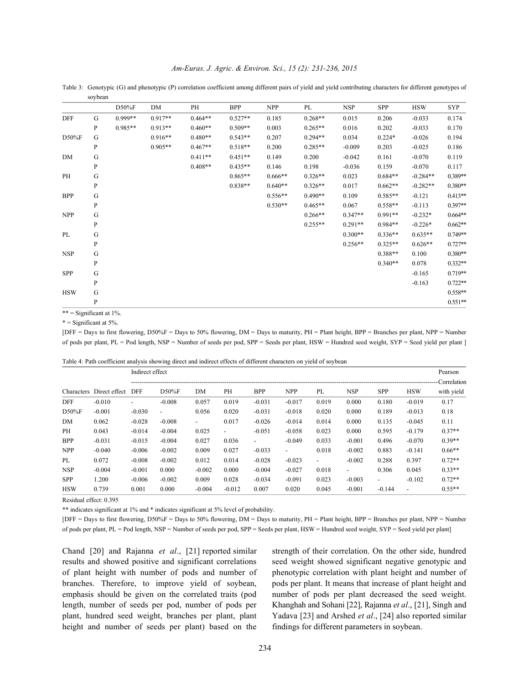Table 3: Genotypic (G) and phenotypic (P) correlation coefficient among different pairs of yield and yield contributing characters for different genotypes of soybean

|            |              | D50%F     | DM        | PH        | <b>BPP</b> | <b>NPP</b> | PL        | <b>NSP</b> | SPP       | <b>HSW</b> | <b>SYP</b> |
|------------|--------------|-----------|-----------|-----------|------------|------------|-----------|------------|-----------|------------|------------|
| <b>DFF</b> | G            | $0.999**$ | $0.917**$ | $0.464**$ | $0.527**$  | 0.185      | $0.268**$ | 0.015      | 0.206     | $-0.033$   | 0.174      |
|            | $\mathbf{P}$ | $0.985**$ | $0.913**$ | $0.460**$ | $0.509**$  | 0.003      | $0.265**$ | 0.016      | 0.202     | $-0.033$   | 0.170      |
| D50%F      | G            |           | $0.916**$ | $0.480**$ | $0.543**$  | 0.207      | $0.294**$ | 0.034      | $0.224*$  | $-0.026$   | 0.194      |
|            | P            |           | $0.905**$ | $0.467**$ | $0.518**$  | 0.200      | $0.285**$ | $-0.009$   | 0.203     | $-0.025$   | 0.186      |
| DM         | G            |           |           | $0.411**$ | $0.451**$  | 0.149      | 0.200     | $-0.042$   | 0.161     | $-0.070$   | 0.119      |
|            | P            |           |           | $0.408**$ | $0.435**$  | 0.146      | 0.198     | $-0.036$   | 0.159     | $-0.070$   | 0.117      |
| PH         | G            |           |           |           | $0.865**$  | $0.666**$  | $0.326**$ | 0.023      | $0.684**$ | $-0.284**$ | 0.389**    |
|            | $\, {\bf p}$ |           |           |           | 0.838**    | $0.640**$  | $0.326**$ | 0.017      | $0.662**$ | $-0.282**$ | $0.380**$  |
| <b>BPP</b> | G            |           |           |           |            | $0.556**$  | $0.490**$ | 0.109      | $0.585**$ | $-0.121$   | $0.413**$  |
|            | P            |           |           |           |            | $0.530**$  | $0.465**$ | 0.067      | $0.558**$ | $-0.113$   | 0.397**    |
| <b>NPP</b> | G            |           |           |           |            |            | $0.266**$ | $0.347**$  | $0.991**$ | $-0.232*$  | $0.664**$  |
|            | P            |           |           |           |            |            | $0.255**$ | $0.291**$  | $0.984**$ | $-0.226*$  | $0.662**$  |
| PL         | G            |           |           |           |            |            |           | $0.300**$  | $0.336**$ | $0.635**$  | $0.749**$  |
|            | P            |           |           |           |            |            |           | $0.256**$  | $0.325**$ | $0.626**$  | $0.727**$  |
| <b>NSP</b> | G            |           |           |           |            |            |           |            | $0.388**$ | 0.100      | $0.380**$  |
|            | P            |           |           |           |            |            |           |            | $0.340**$ | 0.078      | $0.332**$  |
| SPP        | ${\bf G}$    |           |           |           |            |            |           |            |           | $-0.165$   | $0.719**$  |
|            | P            |           |           |           |            |            |           |            |           | $-0.163$   | $0.722**$  |
| <b>HSW</b> | G            |           |           |           |            |            |           |            |           |            | $0.558**$  |
|            | P            |           |           |           |            |            |           |            |           |            | $0.551**$  |

\*\* = Significant at  $1\%$ .

\* = Significant at 5%.

[DFF = Days to first flowering, D50%F = Days to 50% flowering, DM = Days to maturity, PH = Plant height, BPP = Branches per plant, NPP = Number of pods per plant, PL = Pod length, NSP = Number of seeds per pod, SPP = Seeds per plant, HSW = Hundred seed weight, SYP = Seed yield per plant ]

|  | Table 4: Path coefficient analysis showing direct and indirect effects of different characters on yield of soybean |
|--|--------------------------------------------------------------------------------------------------------------------|
|  |                                                                                                                    |

|            | Characters Direct effect | Indirect effect |                          |                          |                          |                          |                          |                          |            |                          |                          | Pearson<br>Correlation |
|------------|--------------------------|-----------------|--------------------------|--------------------------|--------------------------|--------------------------|--------------------------|--------------------------|------------|--------------------------|--------------------------|------------------------|
|            |                          | <b>DFF</b>      | $D50\%F$                 | DΜ                       | PH                       | BPP                      | <b>NPP</b>               | PL                       | <b>NSP</b> | <b>SPP</b>               | <b>HSW</b>               | with yield             |
| <b>DFF</b> | $-0.010$                 |                 | $-0.008$                 | 0.057                    | 0.019                    | $-0.031$                 | $-0.017$                 | 0.019                    | 0.000      | 0.180                    | $-0.019$                 | 0.17                   |
| $D50\%F$   | $-0.001$                 | $-0.030$        | $\overline{\phantom{0}}$ | 0.056                    | 0.020                    | $-0.031$                 | $-0.018$                 | 0.020                    | 0.000      | 0.189                    | $-0.013$                 | 0.18                   |
| DM         | 0.062                    | $-0.028$        | $-0.008$                 | $\overline{\phantom{0}}$ | 0.017                    | $-0.026$                 | $-0.014$                 | 0.014                    | 0.000      | 0.135                    | $-0.045$                 | 0.11                   |
| PH         | 0.043                    | $-0.014$        | $-0.004$                 | 0.025                    | $\overline{\phantom{a}}$ | $-0.051$                 | $-0.058$                 | 0.023                    | 0.000      | 0.595                    | $-0.179$                 | $0.37**$               |
| <b>BPP</b> | $-0.031$                 | $-0.015$        | $-0.004$                 | 0.027                    | 0.036                    | $\overline{\phantom{0}}$ | $-0.049$                 | 0.033                    | $-0.001$   | 0.496                    | $-0.070$                 | $0.39**$               |
| <b>NPP</b> | $-0.040$                 | $-0.006$        | $-0.002$                 | 0.009                    | 0.027                    | $-0.033$                 | $\overline{\phantom{0}}$ | 0.018                    | $-0.002$   | 0.883                    | $-0.141$                 | $0.66**$               |
| PL         | 0.072                    | $-0.008$        | $-0.002$                 | 0.012                    | 0.014                    | $-0.028$                 | $-0.023$                 | $\overline{\phantom{0}}$ | $-0.002$   | 0.288                    | 0.397                    | $0.72**$               |
| <b>NSP</b> | $-0.004$                 | $-0.001$        | 0.000                    | $-0.002$                 | 0.000                    | $-0.004$                 | $-0.027$                 | 0.018                    |            | 0.306                    | 0.045                    | $0.33**$               |
| <b>SPP</b> | 1.200                    | $-0.006$        | $-0.002$                 | 0.009                    | 0.028                    | $-0.034$                 | $-0.091$                 | 0.023                    | $-0.003$   | $\overline{\phantom{a}}$ | $-0.102$                 | $0.72**$               |
| <b>HSW</b> | 0.739                    | 0.001           | 0.000                    | $-0.004$                 | $-0.012$                 | 0.007                    | 0.020                    | 0.045                    | $-0.001$   | $-0.144$                 | $\overline{\phantom{a}}$ | $0.55**$               |

Residual effect: 0.395

\*\* indicates significant at 1% and \* indicates significant at 5% level of probability.

[DFF = Days to first flowering, D50%F = Days to 50% flowering, DM = Days to maturity, PH = Plant height, BPP = Branches per plant, NPP = Number of pods per plant, PL = Pod length, NSP = Number of seeds per pod, SPP = Seeds per plant, HSW = Hundred seed weight, SYP = Seed yield per plant]

Chand [20] and Rajanna *et al*., [21] reported similar strength of their correlation. On the other side, hundred results and showed positive and significant correlations seed weight showed significant negative genotypic and of plant height with number of pods and number of phenotypic correlation with plant height and number of branches. Therefore, to improve yield of soybean, pods per plant. It means that increase of plant height and emphasis should be given on the correlated traits (pod number of pods per plant decreased the seed weight. length, number of seeds per pod, number of pods per Khanghah and Sohani [22], Rajanna *et al*., [21], Singh and plant, hundred seed weight, branches per plant, plant Yadava [23] and Arshed *et al*., [24] also reported similar height and number of seeds per plant) based on the findings for different parameters in soybean.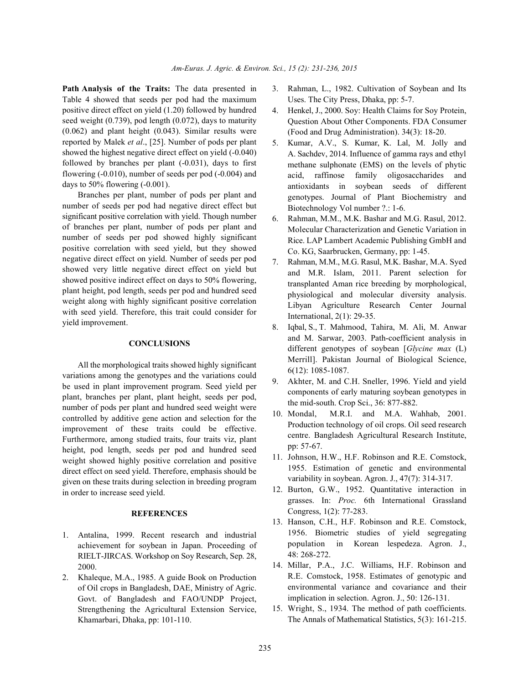**Path Analysis of the Traits:** The data presented in 3. Rahman, L., 1982. Cultivation of Soybean and Its Table 4 showed that seeds per pod had the maximum positive direct effect on yield (1.20) followed by hundred seed weight (0.739), pod length (0.072), days to maturity (0.062) and plant height (0.043). Similar results were reported by Malek *et al*., [25]. Number of pods per plant showed the highest negative direct effect on yield (-0.040) followed by branches per plant (-0.031), days to first flowering (-0.010), number of seeds per pod (-0.004) and days to 50% flowering (-0.001).

Branches per plant, number of pods per plant and number of seeds per pod had negative direct effect but significant positive correlation with yield. Though number of branches per plant, number of pods per plant and number of seeds per pod showed highly significant positive correlation with seed yield, but they showed negative direct effect on yield. Number of seeds per pod showed very little negative direct effect on yield but showed positive indirect effect on days to 50% flowering, plant height, pod length, seeds per pod and hundred seed weight along with highly significant positive correlation with seed yield. Therefore, this trait could consider for yield improvement.

### **CONCLUSIONS**

All the morphological traits showed highly significant variations among the genotypes and the variations could be used in plant improvement program. Seed yield per plant, branches per plant, plant height, seeds per pod, number of pods per plant and hundred seed weight were controlled by additive gene action and selection for the improvement of these traits could be effective. Furthermore, among studied traits, four traits viz, plant height, pod length, seeds per pod and hundred seed weight showed highly positive correlation and positive direct effect on seed yield. Therefore, emphasis should be given on these traits during selection in breeding program in order to increase seed yield.

# **REFERENCES**

- 1. Antalina, 1999. Recent research and industrial achievement for soybean in Japan. Proceeding of RIELT-JIRCAS. Workshop on Soy Research, Sep. 28, 2000.
- 2. Khaleque, M.A., 1985. A guide Book on Production of Oil crops in Bangladesh, DAE, Ministry of Agric. Govt. of Bangladesh and FAO/UNDP Project, Strengthening the Agricultural Extension Service, Khamarbari, Dhaka, pp: 101-110.
- Uses. The City Press, Dhaka, pp: 5-7.
- 4. Henkel, J., 2000. Soy: Health Claims for Soy Protein, Question About Other Components. FDA Consumer (Food and Drug Administration). 34(3): 18-20.
- 5. Kumar, A.V., S. Kumar, K. Lal, M. Jolly and A. Sachdev, 2014. Influence of gamma rays and ethyl methane sulphonate (EMS) on the levels of phytic acid, raffinose family oligosaccharides and antioxidants in soybean seeds of different genotypes. Journal of Plant Biochemistry and Biotechnology Vol number ?.: 1-6.
- 6. Rahman, M.M., M.K. Bashar and M.G. Rasul, 2012. Molecular Characterization and Genetic Variation in Rice. LAP Lambert Academic Publishing GmbH and Co. KG, Saarbrucken, Germany, pp: 1-45.
- 7. Rahman, M.M., M.G. Rasul, M.K. Bashar, M.A. Syed and M.R. Islam, 2011. Parent selection for transplanted Aman rice breeding by morphological, physiological and molecular diversity analysis. Libyan Agriculture Research Center Journal International, 2(1): 29-35.
- 8. Iqbal, S., T. Mahmood, Tahira, M. Ali, M. Anwar and M. Sarwar, 2003. Path-coefficient analysis in different genotypes of soybean [*Glycine max* (L) Merrill]. Pakistan Journal of Biological Science, 6(12): 1085-1087.
- 9. Akhter, M. and C.H. Sneller, 1996. Yield and yield components of early maturing soybean genotypes in the mid-south. Crop Sci., 36: 877-882.
- 10. Mondal, M.R.I. and M.A. Wahhab, 2001. Production technology of oil crops. Oil seed research centre. Bangladesh Agricultural Research Institute, pp: 57-67.
- 11. Johnson, H.W., H.F. Robinson and R.E. Comstock, 1955. Estimation of genetic and environmental variability in soybean. Agron. J., 47(7): 314-317.
- 12. Burton, G.W., 1952. Quantitative interaction in grasses. In: *Proc.* 6th International Grassland Congress, 1(2): 77-283.
- 13. Hanson, C.H., H.F. Robinson and R.E. Comstock, 1956. Biometric studies of yield segregating population in Korean lespedeza. Agron. J., 48: 268-272.
- 14. Millar, P.A., J.C. Williams, H.F. Robinson and R.E. Comstock, 1958. Estimates of genotypic and environmental variance and covariance and their implication in selection. Agron. J., 50: 126-131.
- 15. Wright, S., 1934. The method of path coefficients. The Annals of Mathematical Statistics, 5(3): 161-215.